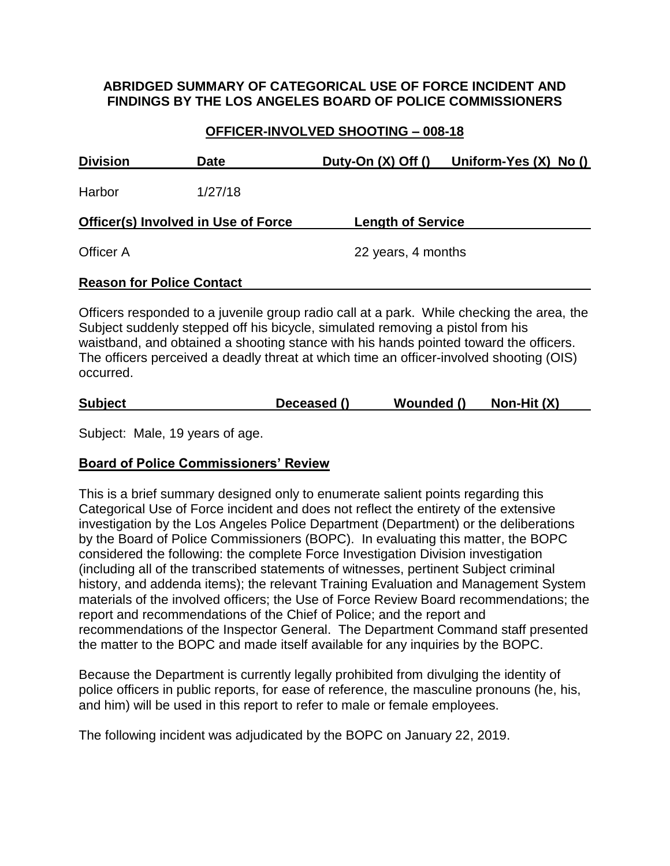#### **ABRIDGED SUMMARY OF CATEGORICAL USE OF FORCE INCIDENT AND FINDINGS BY THE LOS ANGELES BOARD OF POLICE COMMISSIONERS**

### **OFFICER-INVOLVED SHOOTING – 008-18**

| <b>Division</b>                  | <b>Date</b>                                | Duty-On $(X)$ Off $()$   | Uniform-Yes $(X)$ No $()$                                                                 |
|----------------------------------|--------------------------------------------|--------------------------|-------------------------------------------------------------------------------------------|
| Harbor                           | 1/27/18                                    |                          |                                                                                           |
|                                  | <b>Officer(s) Involved in Use of Force</b> | <b>Length of Service</b> |                                                                                           |
| Officer A                        |                                            | 22 years, 4 months       |                                                                                           |
| <b>Reason for Police Contact</b> |                                            |                          |                                                                                           |
|                                  |                                            |                          | Officers responded to a juvenile group radio call at a park. While checking the area, the |

Subject suddenly stepped off his bicycle, simulated removing a pistol from his waistband, and obtained a shooting stance with his hands pointed toward the officers. The officers perceived a deadly threat at which time an officer-involved shooting (OIS) occurred.

| Non-Hit $(X)$<br><b>Subject</b><br>Wounded ()<br>Deceased () |
|--------------------------------------------------------------|
|--------------------------------------------------------------|

Subject: Male, 19 years of age.

#### **Board of Police Commissioners' Review**

This is a brief summary designed only to enumerate salient points regarding this Categorical Use of Force incident and does not reflect the entirety of the extensive investigation by the Los Angeles Police Department (Department) or the deliberations by the Board of Police Commissioners (BOPC). In evaluating this matter, the BOPC considered the following: the complete Force Investigation Division investigation (including all of the transcribed statements of witnesses, pertinent Subject criminal history, and addenda items); the relevant Training Evaluation and Management System materials of the involved officers; the Use of Force Review Board recommendations; the report and recommendations of the Chief of Police; and the report and recommendations of the Inspector General. The Department Command staff presented the matter to the BOPC and made itself available for any inquiries by the BOPC.

Because the Department is currently legally prohibited from divulging the identity of police officers in public reports, for ease of reference, the masculine pronouns (he, his, and him) will be used in this report to refer to male or female employees.

The following incident was adjudicated by the BOPC on January 22, 2019.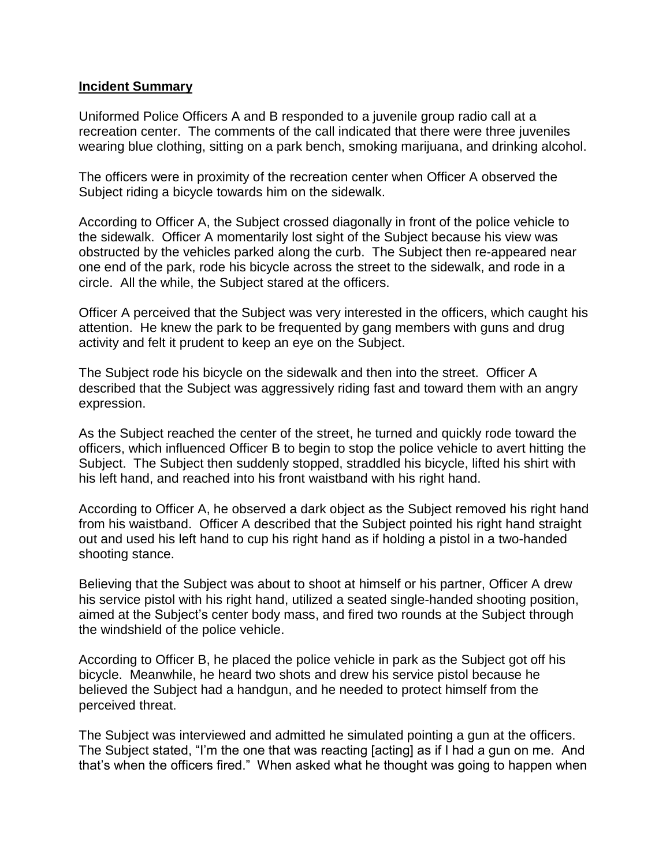#### **Incident Summary**

Uniformed Police Officers A and B responded to a juvenile group radio call at a recreation center. The comments of the call indicated that there were three juveniles wearing blue clothing, sitting on a park bench, smoking marijuana, and drinking alcohol.

The officers were in proximity of the recreation center when Officer A observed the Subject riding a bicycle towards him on the sidewalk.

According to Officer A, the Subject crossed diagonally in front of the police vehicle to the sidewalk. Officer A momentarily lost sight of the Subject because his view was obstructed by the vehicles parked along the curb. The Subject then re-appeared near one end of the park, rode his bicycle across the street to the sidewalk, and rode in a circle. All the while, the Subject stared at the officers.

Officer A perceived that the Subject was very interested in the officers, which caught his attention. He knew the park to be frequented by gang members with guns and drug activity and felt it prudent to keep an eye on the Subject.

The Subject rode his bicycle on the sidewalk and then into the street. Officer A described that the Subject was aggressively riding fast and toward them with an angry expression.

As the Subject reached the center of the street, he turned and quickly rode toward the officers, which influenced Officer B to begin to stop the police vehicle to avert hitting the Subject. The Subject then suddenly stopped, straddled his bicycle, lifted his shirt with his left hand, and reached into his front waistband with his right hand.

According to Officer A, he observed a dark object as the Subject removed his right hand from his waistband. Officer A described that the Subject pointed his right hand straight out and used his left hand to cup his right hand as if holding a pistol in a two-handed shooting stance.

Believing that the Subject was about to shoot at himself or his partner, Officer A drew his service pistol with his right hand, utilized a seated single-handed shooting position, aimed at the Subject's center body mass, and fired two rounds at the Subject through the windshield of the police vehicle.

According to Officer B, he placed the police vehicle in park as the Subject got off his bicycle. Meanwhile, he heard two shots and drew his service pistol because he believed the Subject had a handgun, and he needed to protect himself from the perceived threat.

The Subject was interviewed and admitted he simulated pointing a gun at the officers. The Subject stated, "I'm the one that was reacting [acting] as if I had a gun on me. And that's when the officers fired." When asked what he thought was going to happen when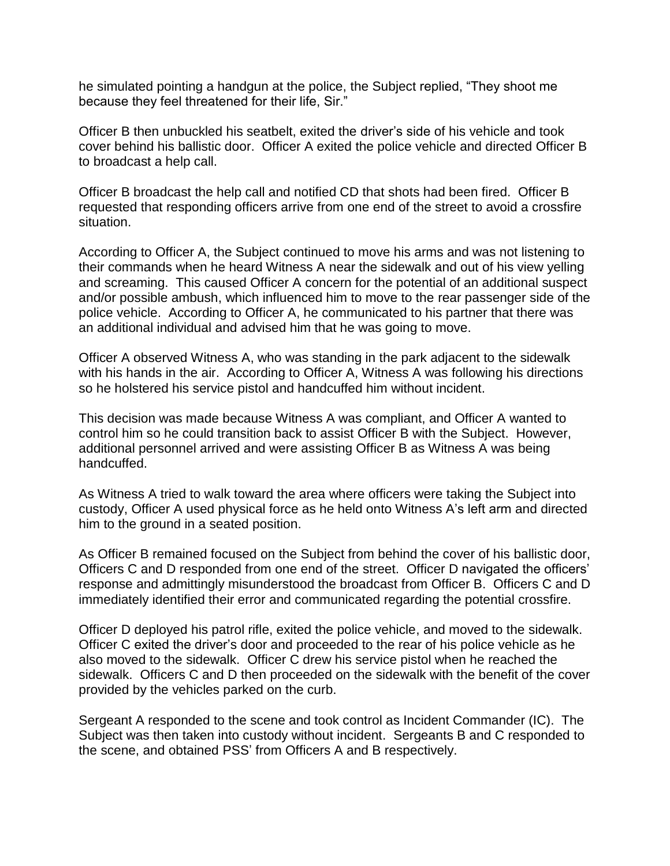he simulated pointing a handgun at the police, the Subject replied, "They shoot me because they feel threatened for their life, Sir."

Officer B then unbuckled his seatbelt, exited the driver's side of his vehicle and took cover behind his ballistic door. Officer A exited the police vehicle and directed Officer B to broadcast a help call.

Officer B broadcast the help call and notified CD that shots had been fired. Officer B requested that responding officers arrive from one end of the street to avoid a crossfire situation.

According to Officer A, the Subject continued to move his arms and was not listening to their commands when he heard Witness A near the sidewalk and out of his view yelling and screaming. This caused Officer A concern for the potential of an additional suspect and/or possible ambush, which influenced him to move to the rear passenger side of the police vehicle. According to Officer A, he communicated to his partner that there was an additional individual and advised him that he was going to move.

Officer A observed Witness A, who was standing in the park adjacent to the sidewalk with his hands in the air. According to Officer A, Witness A was following his directions so he holstered his service pistol and handcuffed him without incident.

This decision was made because Witness A was compliant, and Officer A wanted to control him so he could transition back to assist Officer B with the Subject. However, additional personnel arrived and were assisting Officer B as Witness A was being handcuffed.

As Witness A tried to walk toward the area where officers were taking the Subject into custody, Officer A used physical force as he held onto Witness A's left arm and directed him to the ground in a seated position.

As Officer B remained focused on the Subject from behind the cover of his ballistic door, Officers C and D responded from one end of the street. Officer D navigated the officers' response and admittingly misunderstood the broadcast from Officer B. Officers C and D immediately identified their error and communicated regarding the potential crossfire.

Officer D deployed his patrol rifle, exited the police vehicle, and moved to the sidewalk. Officer C exited the driver's door and proceeded to the rear of his police vehicle as he also moved to the sidewalk. Officer C drew his service pistol when he reached the sidewalk. Officers C and D then proceeded on the sidewalk with the benefit of the cover provided by the vehicles parked on the curb.

Sergeant A responded to the scene and took control as Incident Commander (IC). The Subject was then taken into custody without incident. Sergeants B and C responded to the scene, and obtained PSS' from Officers A and B respectively.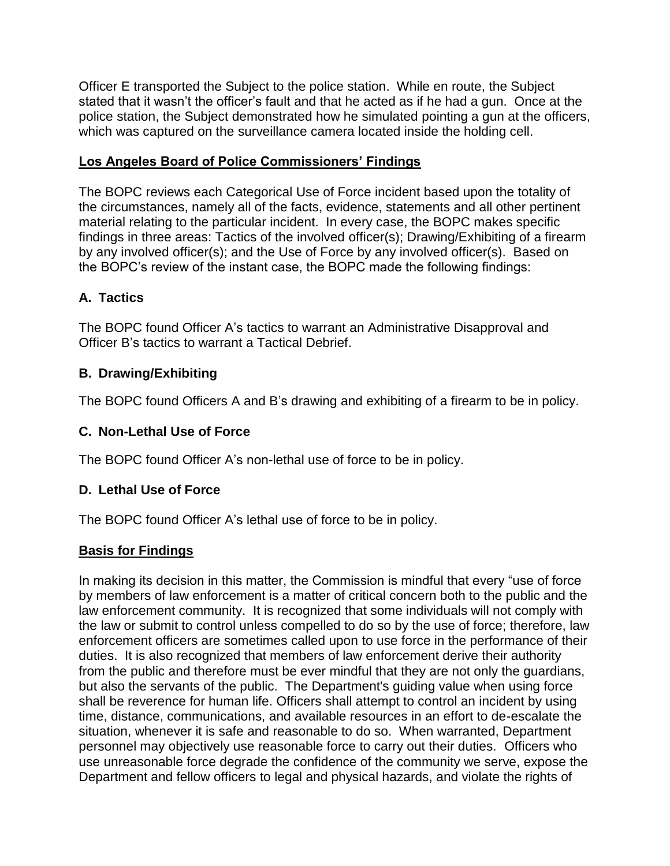Officer E transported the Subject to the police station. While en route, the Subject stated that it wasn't the officer's fault and that he acted as if he had a gun. Once at the police station, the Subject demonstrated how he simulated pointing a gun at the officers, which was captured on the surveillance camera located inside the holding cell.

# **Los Angeles Board of Police Commissioners' Findings**

The BOPC reviews each Categorical Use of Force incident based upon the totality of the circumstances, namely all of the facts, evidence, statements and all other pertinent material relating to the particular incident. In every case, the BOPC makes specific findings in three areas: Tactics of the involved officer(s); Drawing/Exhibiting of a firearm by any involved officer(s); and the Use of Force by any involved officer(s). Based on the BOPC's review of the instant case, the BOPC made the following findings:

# **A. Tactics**

The BOPC found Officer A's tactics to warrant an Administrative Disapproval and Officer B's tactics to warrant a Tactical Debrief.

# **B. Drawing/Exhibiting**

The BOPC found Officers A and B's drawing and exhibiting of a firearm to be in policy.

# **C. Non-Lethal Use of Force**

The BOPC found Officer A's non-lethal use of force to be in policy.

# **D. Lethal Use of Force**

The BOPC found Officer A's lethal use of force to be in policy.

# **Basis for Findings**

In making its decision in this matter, the Commission is mindful that every "use of force by members of law enforcement is a matter of critical concern both to the public and the law enforcement community. It is recognized that some individuals will not comply with the law or submit to control unless compelled to do so by the use of force; therefore, law enforcement officers are sometimes called upon to use force in the performance of their duties. It is also recognized that members of law enforcement derive their authority from the public and therefore must be ever mindful that they are not only the guardians, but also the servants of the public. The Department's guiding value when using force shall be reverence for human life. Officers shall attempt to control an incident by using time, distance, communications, and available resources in an effort to de-escalate the situation, whenever it is safe and reasonable to do so. When warranted, Department personnel may objectively use reasonable force to carry out their duties. Officers who use unreasonable force degrade the confidence of the community we serve, expose the Department and fellow officers to legal and physical hazards, and violate the rights of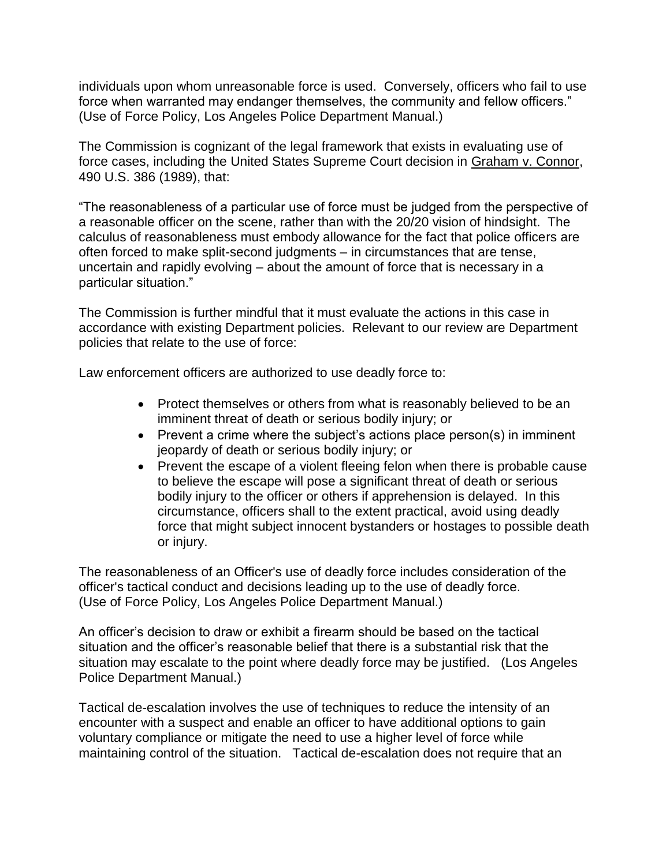individuals upon whom unreasonable force is used. Conversely, officers who fail to use force when warranted may endanger themselves, the community and fellow officers." (Use of Force Policy, Los Angeles Police Department Manual.)

The Commission is cognizant of the legal framework that exists in evaluating use of force cases, including the United States Supreme Court decision in Graham v. Connor, 490 U.S. 386 (1989), that:

"The reasonableness of a particular use of force must be judged from the perspective of a reasonable officer on the scene, rather than with the 20/20 vision of hindsight. The calculus of reasonableness must embody allowance for the fact that police officers are often forced to make split-second judgments – in circumstances that are tense, uncertain and rapidly evolving – about the amount of force that is necessary in a particular situation."

The Commission is further mindful that it must evaluate the actions in this case in accordance with existing Department policies. Relevant to our review are Department policies that relate to the use of force:

Law enforcement officers are authorized to use deadly force to:

- Protect themselves or others from what is reasonably believed to be an imminent threat of death or serious bodily injury; or
- Prevent a crime where the subject's actions place person(s) in imminent jeopardy of death or serious bodily injury; or
- Prevent the escape of a violent fleeing felon when there is probable cause to believe the escape will pose a significant threat of death or serious bodily injury to the officer or others if apprehension is delayed. In this circumstance, officers shall to the extent practical, avoid using deadly force that might subject innocent bystanders or hostages to possible death or injury.

The reasonableness of an Officer's use of deadly force includes consideration of the officer's tactical conduct and decisions leading up to the use of deadly force. (Use of Force Policy, Los Angeles Police Department Manual.)

An officer's decision to draw or exhibit a firearm should be based on the tactical situation and the officer's reasonable belief that there is a substantial risk that the situation may escalate to the point where deadly force may be justified. (Los Angeles Police Department Manual.)

Tactical de-escalation involves the use of techniques to reduce the intensity of an encounter with a suspect and enable an officer to have additional options to gain voluntary compliance or mitigate the need to use a higher level of force while maintaining control of the situation. Tactical de-escalation does not require that an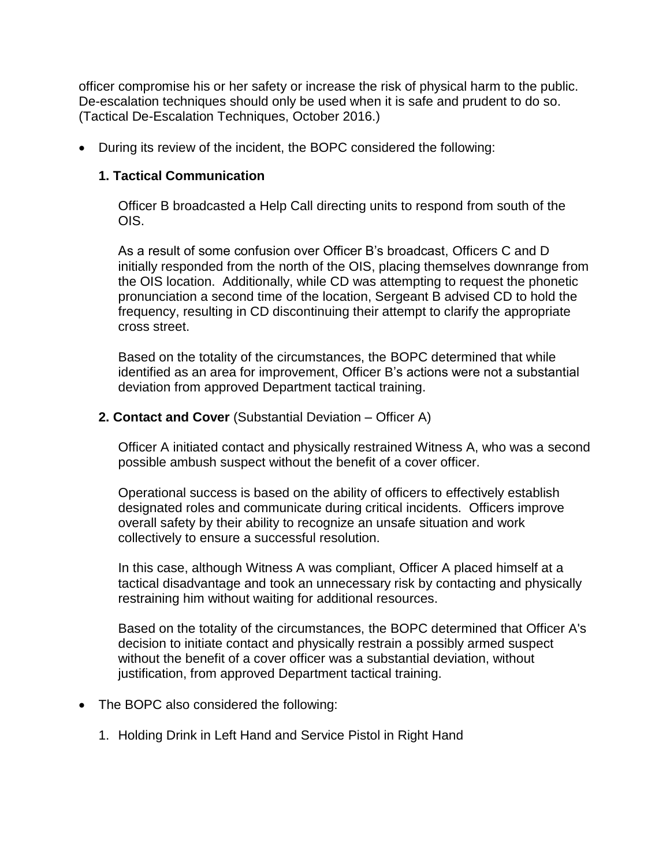officer compromise his or her safety or increase the risk of physical harm to the public. De-escalation techniques should only be used when it is safe and prudent to do so. (Tactical De-Escalation Techniques, October 2016.)

• During its review of the incident, the BOPC considered the following:

### **1. Tactical Communication**

Officer B broadcasted a Help Call directing units to respond from south of the OIS.

As a result of some confusion over Officer B's broadcast, Officers C and D initially responded from the north of the OIS, placing themselves downrange from the OIS location. Additionally, while CD was attempting to request the phonetic pronunciation a second time of the location, Sergeant B advised CD to hold the frequency, resulting in CD discontinuing their attempt to clarify the appropriate cross street.

Based on the totality of the circumstances, the BOPC determined that while identified as an area for improvement, Officer B's actions were not a substantial deviation from approved Department tactical training.

### **2. Contact and Cover** (Substantial Deviation – Officer A)

Officer A initiated contact and physically restrained Witness A, who was a second possible ambush suspect without the benefit of a cover officer.

Operational success is based on the ability of officers to effectively establish designated roles and communicate during critical incidents. Officers improve overall safety by their ability to recognize an unsafe situation and work collectively to ensure a successful resolution.

In this case, although Witness A was compliant, Officer A placed himself at a tactical disadvantage and took an unnecessary risk by contacting and physically restraining him without waiting for additional resources.

Based on the totality of the circumstances, the BOPC determined that Officer A's decision to initiate contact and physically restrain a possibly armed suspect without the benefit of a cover officer was a substantial deviation, without justification, from approved Department tactical training.

- The BOPC also considered the following:
	- 1. Holding Drink in Left Hand and Service Pistol in Right Hand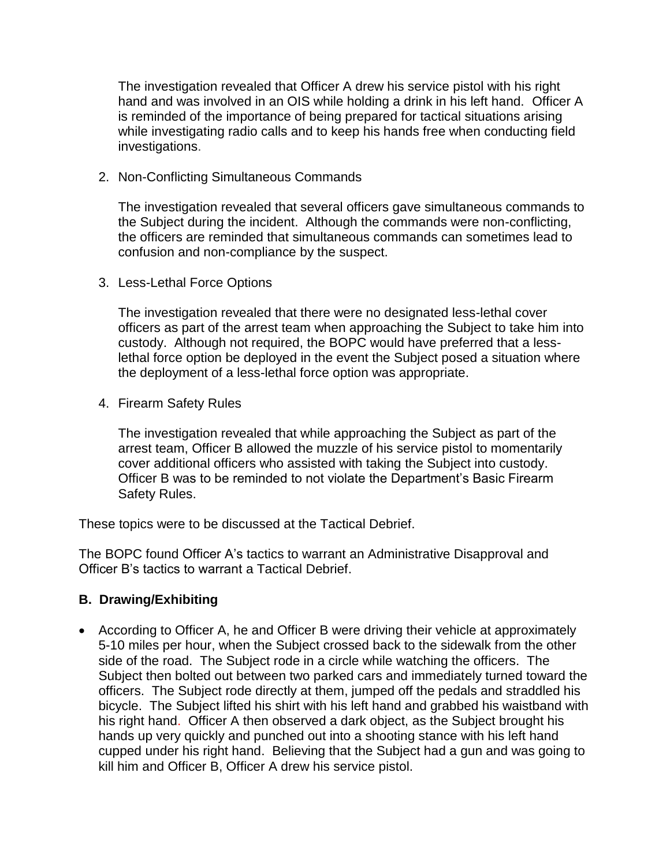The investigation revealed that Officer A drew his service pistol with his right hand and was involved in an OIS while holding a drink in his left hand. Officer A is reminded of the importance of being prepared for tactical situations arising while investigating radio calls and to keep his hands free when conducting field investigations.

2. Non-Conflicting Simultaneous Commands

The investigation revealed that several officers gave simultaneous commands to the Subject during the incident. Although the commands were non-conflicting, the officers are reminded that simultaneous commands can sometimes lead to confusion and non-compliance by the suspect.

3. Less-Lethal Force Options

The investigation revealed that there were no designated less-lethal cover officers as part of the arrest team when approaching the Subject to take him into custody. Although not required, the BOPC would have preferred that a lesslethal force option be deployed in the event the Subject posed a situation where the deployment of a less-lethal force option was appropriate.

4. Firearm Safety Rules

The investigation revealed that while approaching the Subject as part of the arrest team, Officer B allowed the muzzle of his service pistol to momentarily cover additional officers who assisted with taking the Subject into custody. Officer B was to be reminded to not violate the Department's Basic Firearm Safety Rules.

These topics were to be discussed at the Tactical Debrief.

The BOPC found Officer A's tactics to warrant an Administrative Disapproval and Officer B's tactics to warrant a Tactical Debrief.

#### **B. Drawing/Exhibiting**

• According to Officer A, he and Officer B were driving their vehicle at approximately 5-10 miles per hour, when the Subject crossed back to the sidewalk from the other side of the road. The Subject rode in a circle while watching the officers. The Subject then bolted out between two parked cars and immediately turned toward the officers. The Subject rode directly at them, jumped off the pedals and straddled his bicycle. The Subject lifted his shirt with his left hand and grabbed his waistband with his right hand. Officer A then observed a dark object, as the Subject brought his hands up very quickly and punched out into a shooting stance with his left hand cupped under his right hand. Believing that the Subject had a gun and was going to kill him and Officer B, Officer A drew his service pistol.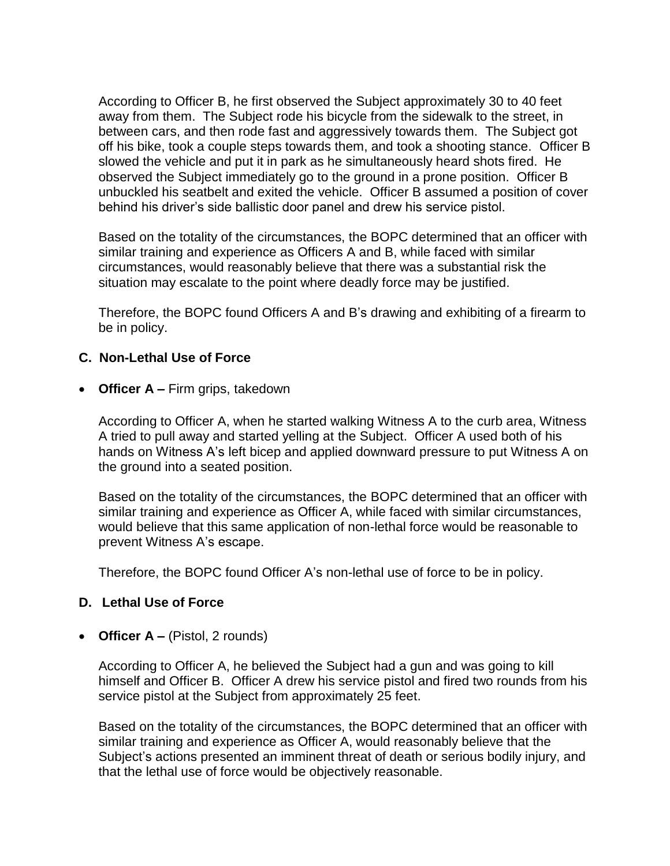According to Officer B, he first observed the Subject approximately 30 to 40 feet away from them. The Subject rode his bicycle from the sidewalk to the street, in between cars, and then rode fast and aggressively towards them. The Subject got off his bike, took a couple steps towards them, and took a shooting stance. Officer B slowed the vehicle and put it in park as he simultaneously heard shots fired. He observed the Subject immediately go to the ground in a prone position. Officer B unbuckled his seatbelt and exited the vehicle. Officer B assumed a position of cover behind his driver's side ballistic door panel and drew his service pistol.

Based on the totality of the circumstances, the BOPC determined that an officer with similar training and experience as Officers A and B, while faced with similar circumstances, would reasonably believe that there was a substantial risk the situation may escalate to the point where deadly force may be justified.

Therefore, the BOPC found Officers A and B's drawing and exhibiting of a firearm to be in policy.

#### **C. Non-Lethal Use of Force**

• **Officer A –** Firm grips, takedown

According to Officer A, when he started walking Witness A to the curb area, Witness A tried to pull away and started yelling at the Subject. Officer A used both of his hands on Witness A's left bicep and applied downward pressure to put Witness A on the ground into a seated position.

Based on the totality of the circumstances, the BOPC determined that an officer with similar training and experience as Officer A, while faced with similar circumstances, would believe that this same application of non-lethal force would be reasonable to prevent Witness A's escape.

Therefore, the BOPC found Officer A's non-lethal use of force to be in policy.

# **D. Lethal Use of Force**

• **Officer A –** (Pistol, 2 rounds)

According to Officer A, he believed the Subject had a gun and was going to kill himself and Officer B. Officer A drew his service pistol and fired two rounds from his service pistol at the Subject from approximately 25 feet.

Based on the totality of the circumstances, the BOPC determined that an officer with similar training and experience as Officer A, would reasonably believe that the Subject's actions presented an imminent threat of death or serious bodily injury, and that the lethal use of force would be objectively reasonable.